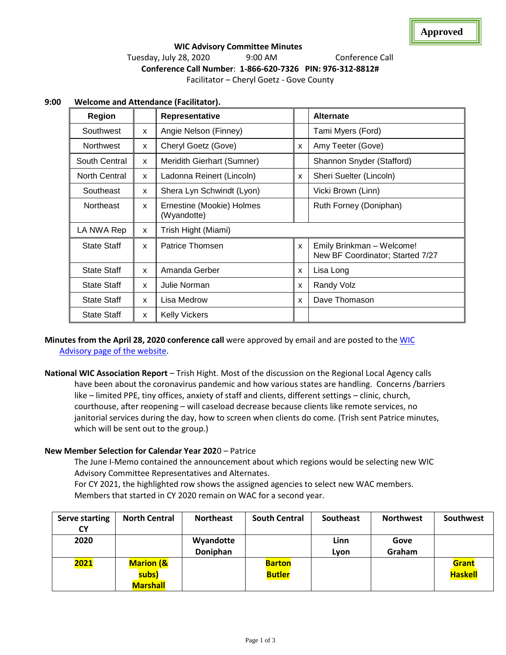# **WIC Advisory Committee Minutes**  Tuesday, July 28, 2020 9:00 AM Conference Call **Conference Call Number**: **1-866-620-7326 PIN: 976-312-8812#** Facilitator – Cheryl Goetz - Gove County

| <b>Region</b>      |              | Representative                           |                           | <b>Alternate</b>                                              |  |  |
|--------------------|--------------|------------------------------------------|---------------------------|---------------------------------------------------------------|--|--|
| Southwest          | X            | Angie Nelson (Finney)                    |                           | Tami Myers (Ford)                                             |  |  |
| <b>Northwest</b>   | X            | Cheryl Goetz (Gove)                      | X                         | Amy Teeter (Gove)                                             |  |  |
| South Central      | X            | Meridith Gierhart (Sumner)               |                           | Shannon Snyder (Stafford)                                     |  |  |
| North Central      | X            | Ladonna Reinert (Lincoln)                | $\boldsymbol{\mathsf{x}}$ | Sheri Suelter (Lincoln)                                       |  |  |
| Southeast          | X            | Shera Lyn Schwindt (Lyon)                |                           | Vicki Brown (Linn)                                            |  |  |
| <b>Northeast</b>   | $\mathsf{x}$ | Ernestine (Mookie) Holmes<br>(Wyandotte) |                           | Ruth Forney (Doniphan)                                        |  |  |
| LA NWA Rep         | X            | Trish Hight (Miami)                      |                           |                                                               |  |  |
| <b>State Staff</b> | X            | Patrice Thomsen                          | $\boldsymbol{\mathsf{x}}$ | Emily Brinkman - Welcome!<br>New BF Coordinator; Started 7/27 |  |  |
| <b>State Staff</b> | $\mathsf{x}$ | Amanda Gerber                            | $\boldsymbol{\mathsf{x}}$ | Lisa Long                                                     |  |  |
| <b>State Staff</b> | X            | Julie Norman                             | X                         | Randy Volz                                                    |  |  |
| <b>State Staff</b> | X            | Lisa Medrow                              | X                         | Dave Thomason                                                 |  |  |
| <b>State Staff</b> | X            | <b>Kelly Vickers</b>                     |                           |                                                               |  |  |

# **9:00 Welcome and Attendance (Facilitator).**

**Minutes from the April 28, 2020 conference call** were approved by email and are posted to the [WIC](http://www.kansaswic.org/local_agencies/WIC_advisory_comm.html)  [Advisory page of the website.](http://www.kansaswic.org/local_agencies/WIC_advisory_comm.html)

**National WIC Association Report** – Trish Hight. Most of the discussion on the Regional Local Agency calls have been about the coronavirus pandemic and how various states are handling. Concerns /barriers like – limited PPE, tiny offices, anxiety of staff and clients, different settings – clinic, church, courthouse, after reopening – will caseload decrease because clients like remote services, no janitorial services during the day, how to screen when clients do come. (Trish sent Patrice minutes, which will be sent out to the group.)

#### **New Member Selection for Calendar Year 202**0 – Patrice

The June I-Memo contained the announcement about which regions would be selecting new WIC Advisory Committee Representatives and Alternates.

For CY 2021, the highlighted row shows the assigned agencies to select new WAC members. Members that started in CY 2020 remain on WAC for a second year.

| <b>Serve starting</b><br>CΥ | <b>North Central</b>                             | <b>Northeast</b>      | <b>South Central</b>           | Southeast    | <b>Northwest</b> | Southwest               |
|-----------------------------|--------------------------------------------------|-----------------------|--------------------------------|--------------|------------------|-------------------------|
| 2020                        |                                                  | Wyandotte<br>Doniphan |                                | Linn<br>Lyon | Gove<br>Graham   |                         |
| 2021                        | <b>Marion (&amp;</b><br>subs)<br><b>Marshall</b> |                       | <b>Barton</b><br><b>Butler</b> |              |                  | Grant<br><b>Haskell</b> |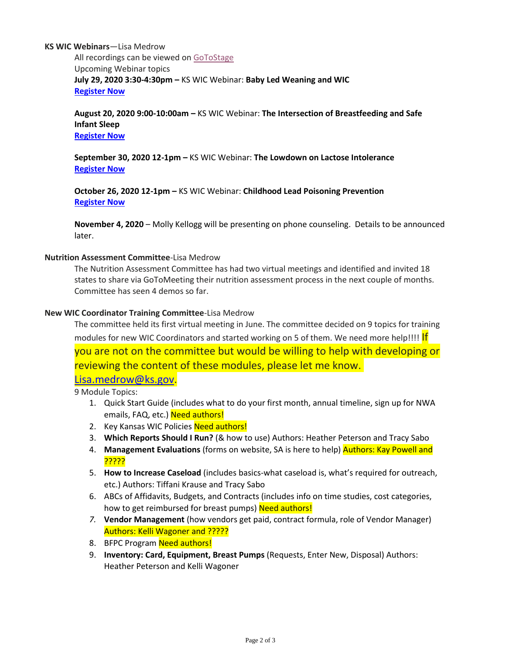#### **KS WIC Webinars**—Lisa Medrow

All recordings can be viewed on [GoToStage](https://gcc01.safelinks.protection.outlook.com/?url=https%3A%2F%2Fwww.gotostage.com%2Fchannel%2Fc0b1a1026a014205b3c0441d39b11e4a&data=02%7C01%7CPatrice.Thomsen%40ks.gov%7C862146165d0b4a17de8308d7e092b7ce%7Cdcae8101c92d480cbc43c6761ccccc5a%7C0%7C0%7C637224793056567072&sdata=YqIb%2BODOcZKzJOYP9D6UdowxXyXam0IErfDsDIustmc%3D&reserved=0) Upcoming Webinar topics **July 29, 2020 3:30-4:30pm –** KS WIC Webinar: **Baby Led Weaning and WIC [Register Now](https://gcc01.safelinks.protection.outlook.com/?url=https%3A%2F%2Fattendee.gotowebinar.com%2Fregister%2F8085817711345383693&data=02%7C01%7CPatrice.Thomsen%40ks.gov%7C7be7f3df3b444b50a70508d827f270eb%7Cdcae8101c92d480cbc43c6761ccccc5a%7C0%7C0%7C637303269521512484&sdata=K2yWMSZcQGWFUwCwT6v8CUNb4jaup%2F2LQBAcs3Z2Gjo%3D&reserved=0)**

**August 20, 2020 9:00-10:00am –** KS WIC Webinar: **The Intersection of Breastfeeding and Safe Infant Sleep [Register Now](https://gcc01.safelinks.protection.outlook.com/?url=https%3A%2F%2Fattendee.gotowebinar.com%2Fregister%2F4915090062369085967&data=02%7C01%7CPatrice.Thomsen%40ks.gov%7C7be7f3df3b444b50a70508d827f270eb%7Cdcae8101c92d480cbc43c6761ccccc5a%7C0%7C0%7C637303269521512484&sdata=K1yD1pcYCucd8W0t1lxYcYNqx99Mae%2FeUzNIusYg1fs%3D&reserved=0)**

**September 30, 2020 12-1pm –** KS WIC Webinar: **The Lowdown on Lactose Intolerance [Register Now](https://gcc01.safelinks.protection.outlook.com/?url=https%3A%2F%2Fattendee.gotowebinar.com%2Fregister%2F7680354110239293711&data=02%7C01%7CPatrice.Thomsen%40ks.gov%7Cbb07df44f96d40e66b3008d8330534b1%7Cdcae8101c92d480cbc43c6761ccccc5a%7C0%7C0%7C637315444735883889&sdata=hBlWAU95Wgfkh2AIuf%2ByhoM%2FRJv%2BRW2QDqIejvUkQM0%3D&reserved=0)**

**October 26, 2020 12-1pm –** KS WIC Webinar: **Childhood Lead Poisoning Prevention [Register Now](https://gcc01.safelinks.protection.outlook.com/?url=https%3A%2F%2Fattendee.gotowebinar.com%2Fregister%2F4826303399664682510&data=02%7C01%7CPatrice.Thomsen%40ks.gov%7Cbb07df44f96d40e66b3008d8330534b1%7Cdcae8101c92d480cbc43c6761ccccc5a%7C0%7C0%7C637315444735893847&sdata=ZjeXZGVaQN98%2BWL0nqUcav6iChV8Me5063ttPcWfWGY%3D&reserved=0)**

**November 4, 2020** – Molly Kellogg will be presenting on phone counseling. Details to be announced later.

#### **Nutrition Assessment Committee**-Lisa Medrow

The Nutrition Assessment Committee has had two virtual meetings and identified and invited 18 states to share via GoToMeeting their nutrition assessment process in the next couple of months. Committee has seen 4 demos so far.

#### **New WIC Coordinator Training Committee**-Lisa Medrow

The committee held its first virtual meeting in June. The committee decided on 9 topics for training modules for new WIC Coordinators and started working on 5 of them. We need more help!!!! If

you are not on the committee but would be willing to help with developing or reviewing the content of these modules, please let me know.

[Lisa.medrow@ks.gov.](mailto:Lisa.medrow@ks.gov)

9 Module Topics:

- 1. Quick Start Guide (includes what to do your first month, annual timeline, sign up for NWA emails, FAQ, etc.) Need authors!
- 2. Key Kansas WIC Policies Need authors!
- 3. **Which Reports Should I Run?** (& how to use) Authors: Heather Peterson and Tracy Sabo
- 4. **Management Evaluations** (forms on website, SA is here to help) Authors: Kay Powell and ?????
- 5. **How to Increase Caseload** (includes basics-what caseload is, what's required for outreach, etc.) Authors: Tiffani Krause and Tracy Sabo
- 6. ABCs of Affidavits, Budgets, and Contracts (includes info on time studies, cost categories, how to get reimbursed for breast pumps) Need authors!
- *7.* **Vendor Management** (how vendors get paid, contract formula, role of Vendor Manager) Authors: Kelli Wagoner and ?????
- 8. BFPC Program Need authors!
- 9. **Inventory: Card, Equipment, Breast Pumps** (Requests, Enter New, Disposal) Authors: Heather Peterson and Kelli Wagoner